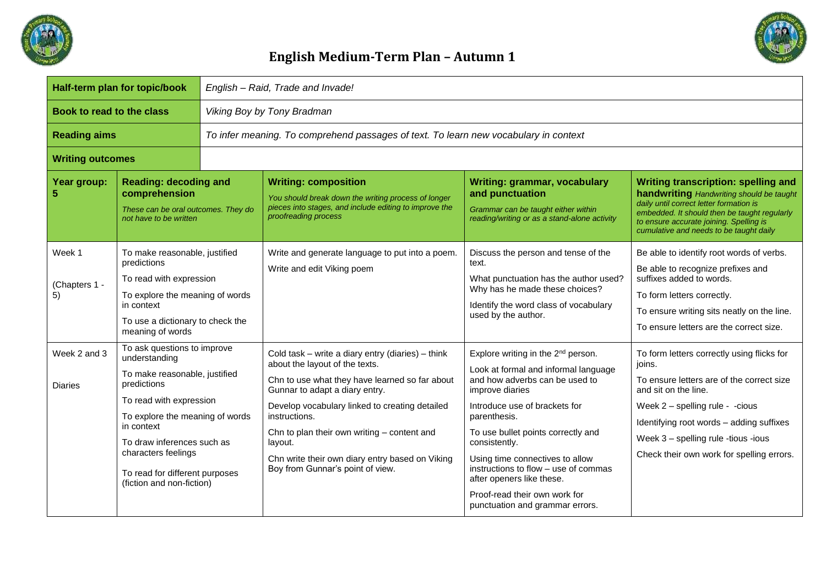



| Half-term plan for topic/book  |                                                                                                                                                                                                                                                                                              | English - Raid, Trade and Invade!                                                    |                                                                                                                                                                                                                                                                                                                                                                                             |                                                                                                                                                                                                                                                                                                                                                                                                                                 |                                                                                                                                                                                                                                                                                               |  |
|--------------------------------|----------------------------------------------------------------------------------------------------------------------------------------------------------------------------------------------------------------------------------------------------------------------------------------------|--------------------------------------------------------------------------------------|---------------------------------------------------------------------------------------------------------------------------------------------------------------------------------------------------------------------------------------------------------------------------------------------------------------------------------------------------------------------------------------------|---------------------------------------------------------------------------------------------------------------------------------------------------------------------------------------------------------------------------------------------------------------------------------------------------------------------------------------------------------------------------------------------------------------------------------|-----------------------------------------------------------------------------------------------------------------------------------------------------------------------------------------------------------------------------------------------------------------------------------------------|--|
| Book to read to the class      |                                                                                                                                                                                                                                                                                              | Viking Boy by Tony Bradman                                                           |                                                                                                                                                                                                                                                                                                                                                                                             |                                                                                                                                                                                                                                                                                                                                                                                                                                 |                                                                                                                                                                                                                                                                                               |  |
| <b>Reading aims</b>            |                                                                                                                                                                                                                                                                                              | To infer meaning. To comprehend passages of text. To learn new vocabulary in context |                                                                                                                                                                                                                                                                                                                                                                                             |                                                                                                                                                                                                                                                                                                                                                                                                                                 |                                                                                                                                                                                                                                                                                               |  |
| <b>Writing outcomes</b>        |                                                                                                                                                                                                                                                                                              |                                                                                      |                                                                                                                                                                                                                                                                                                                                                                                             |                                                                                                                                                                                                                                                                                                                                                                                                                                 |                                                                                                                                                                                                                                                                                               |  |
| Year group:                    | <b>Reading: decoding and</b><br>comprehension<br>These can be oral outcomes. They do<br>not have to be written                                                                                                                                                                               |                                                                                      | <b>Writing: composition</b><br>You should break down the writing process of longer<br>pieces into stages, and include editing to improve the<br>proofreading process                                                                                                                                                                                                                        | Writing: grammar, vocabulary<br>and punctuation<br>Grammar can be taught either within<br>reading/writing or as a stand-alone activity                                                                                                                                                                                                                                                                                          | <b>Writing transcription: spelling and</b><br>handwriting Handwriting should be taught<br>daily until correct letter formation is<br>embedded. It should then be taught regularly<br>to ensure accurate joining. Spelling is<br>cumulative and needs to be taught daily                       |  |
| Week 1<br>(Chapters 1 -<br>5)  | To make reasonable, justified<br>predictions<br>To read with expression<br>To explore the meaning of words<br>in context<br>To use a dictionary to check the<br>meaning of words                                                                                                             |                                                                                      | Write and generate language to put into a poem.<br>Write and edit Viking poem                                                                                                                                                                                                                                                                                                               | Discuss the person and tense of the<br>text.<br>What punctuation has the author used?<br>Why has he made these choices?<br>Identify the word class of vocabulary<br>used by the author.                                                                                                                                                                                                                                         | Be able to identify root words of verbs.<br>Be able to recognize prefixes and<br>suffixes added to words.<br>To form letters correctly.<br>To ensure writing sits neatly on the line.<br>To ensure letters are the correct size.                                                              |  |
| Week 2 and 3<br><b>Diaries</b> | To ask questions to improve<br>understanding<br>To make reasonable, justified<br>predictions<br>To read with expression<br>To explore the meaning of words<br>in context<br>To draw inferences such as<br>characters feelings<br>To read for different purposes<br>(fiction and non-fiction) |                                                                                      | Cold task - write a diary entry (diaries) - think<br>about the layout of the texts.<br>Chn to use what they have learned so far about<br>Gunnar to adapt a diary entry.<br>Develop vocabulary linked to creating detailed<br>instructions.<br>Chn to plan their own writing - content and<br>layout.<br>Chn write their own diary entry based on Viking<br>Boy from Gunnar's point of view. | Explore writing in the 2 <sup>nd</sup> person.<br>Look at formal and informal language<br>and how adverbs can be used to<br>improve diaries<br>Introduce use of brackets for<br>parenthesis.<br>To use bullet points correctly and<br>consistently.<br>Using time connectives to allow<br>instructions to flow - use of commas<br>after openers like these.<br>Proof-read their own work for<br>punctuation and grammar errors. | To form letters correctly using flicks for<br>joins.<br>To ensure letters are of the correct size<br>and sit on the line.<br>Week 2 - spelling rule - - cious<br>Identifying root words - adding suffixes<br>Week 3 - spelling rule -tious -ious<br>Check their own work for spelling errors. |  |